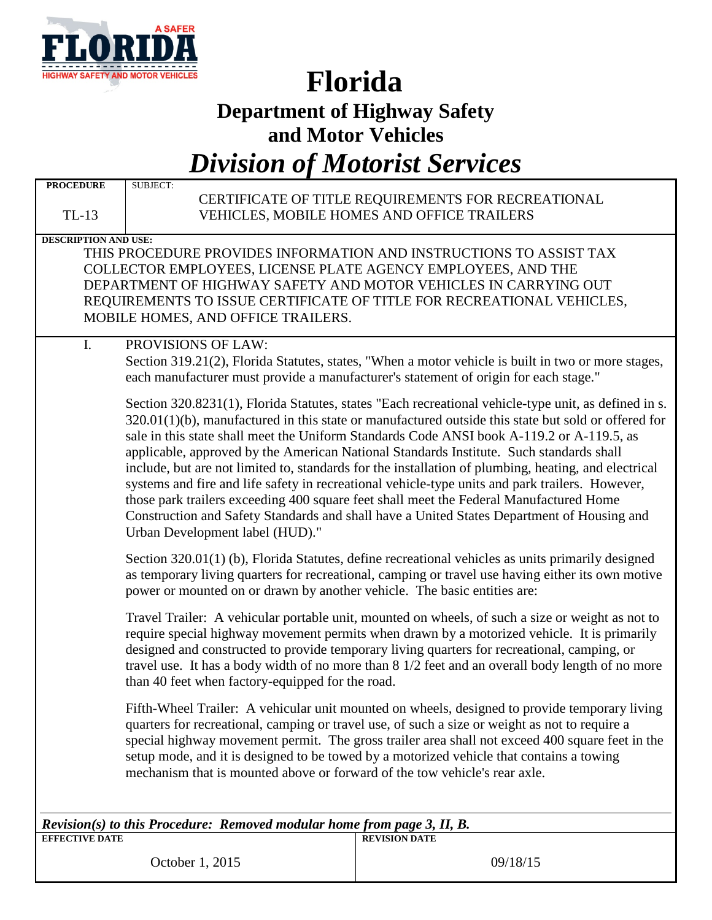

# **Florida**

**Department of Highway Safety**

**and Motor Vehicles**

*Division of Motorist Services*

| <b>PROCEDURE</b><br>$TL-13$                                                                                                                                                                                                                                                                                                                                                                                                                                                  | <b>SUBJECT:</b>                 | CERTIFICATE OF TITLE REQUIREMENTS FOR RECREATIONAL<br>VEHICLES, MOBILE HOMES AND OFFICE TRAILERS                                                                                                                                                                                                                                                                                                                                                                                                                                                                                                                                                                                                                                                                                                          |  |  |  |
|------------------------------------------------------------------------------------------------------------------------------------------------------------------------------------------------------------------------------------------------------------------------------------------------------------------------------------------------------------------------------------------------------------------------------------------------------------------------------|---------------------------------|-----------------------------------------------------------------------------------------------------------------------------------------------------------------------------------------------------------------------------------------------------------------------------------------------------------------------------------------------------------------------------------------------------------------------------------------------------------------------------------------------------------------------------------------------------------------------------------------------------------------------------------------------------------------------------------------------------------------------------------------------------------------------------------------------------------|--|--|--|
| <b>DESCRIPTION AND USE:</b><br>THIS PROCEDURE PROVIDES INFORMATION AND INSTRUCTIONS TO ASSIST TAX<br>COLLECTOR EMPLOYEES, LICENSE PLATE AGENCY EMPLOYEES, AND THE<br>DEPARTMENT OF HIGHWAY SAFETY AND MOTOR VEHICLES IN CARRYING OUT<br>REQUIREMENTS TO ISSUE CERTIFICATE OF TITLE FOR RECREATIONAL VEHICLES,<br>MOBILE HOMES, AND OFFICE TRAILERS.                                                                                                                          |                                 |                                                                                                                                                                                                                                                                                                                                                                                                                                                                                                                                                                                                                                                                                                                                                                                                           |  |  |  |
| I.                                                                                                                                                                                                                                                                                                                                                                                                                                                                           | PROVISIONS OF LAW:              | Section 319.21(2), Florida Statutes, states, "When a motor vehicle is built in two or more stages,<br>each manufacturer must provide a manufacturer's statement of origin for each stage."                                                                                                                                                                                                                                                                                                                                                                                                                                                                                                                                                                                                                |  |  |  |
|                                                                                                                                                                                                                                                                                                                                                                                                                                                                              | Urban Development label (HUD)." | Section 320.8231(1), Florida Statutes, states "Each recreational vehicle-type unit, as defined in s.<br>$320.01(1)(b)$ , manufactured in this state or manufactured outside this state but sold or offered for<br>sale in this state shall meet the Uniform Standards Code ANSI book A-119.2 or A-119.5, as<br>applicable, approved by the American National Standards Institute. Such standards shall<br>include, but are not limited to, standards for the installation of plumbing, heating, and electrical<br>systems and fire and life safety in recreational vehicle-type units and park trailers. However,<br>those park trailers exceeding 400 square feet shall meet the Federal Manufactured Home<br>Construction and Safety Standards and shall have a United States Department of Housing and |  |  |  |
| Section 320.01(1) (b), Florida Statutes, define recreational vehicles as units primarily designed<br>as temporary living quarters for recreational, camping or travel use having either its own motive<br>power or mounted on or drawn by another vehicle. The basic entities are:                                                                                                                                                                                           |                                 |                                                                                                                                                                                                                                                                                                                                                                                                                                                                                                                                                                                                                                                                                                                                                                                                           |  |  |  |
| Travel Trailer: A vehicular portable unit, mounted on wheels, of such a size or weight as not to<br>require special highway movement permits when drawn by a motorized vehicle. It is primarily<br>designed and constructed to provide temporary living quarters for recreational, camping, or<br>travel use. It has a body width of no more than 8 1/2 feet and an overall body length of no more<br>than 40 feet when factory-equipped for the road.                       |                                 |                                                                                                                                                                                                                                                                                                                                                                                                                                                                                                                                                                                                                                                                                                                                                                                                           |  |  |  |
| Fifth-Wheel Trailer: A vehicular unit mounted on wheels, designed to provide temporary living<br>quarters for recreational, camping or travel use, of such a size or weight as not to require a<br>special highway movement permit. The gross trailer area shall not exceed 400 square feet in the<br>setup mode, and it is designed to be towed by a motorized vehicle that contains a towing<br>mechanism that is mounted above or forward of the tow vehicle's rear axle. |                                 |                                                                                                                                                                                                                                                                                                                                                                                                                                                                                                                                                                                                                                                                                                                                                                                                           |  |  |  |
| Revision(s) to this Procedure: Removed modular home from page 3, II, B.<br><b>REVISION DATE</b><br><b>EFFECTIVE DATE</b>                                                                                                                                                                                                                                                                                                                                                     |                                 |                                                                                                                                                                                                                                                                                                                                                                                                                                                                                                                                                                                                                                                                                                                                                                                                           |  |  |  |
|                                                                                                                                                                                                                                                                                                                                                                                                                                                                              | October 1, 2015                 | 09/18/15                                                                                                                                                                                                                                                                                                                                                                                                                                                                                                                                                                                                                                                                                                                                                                                                  |  |  |  |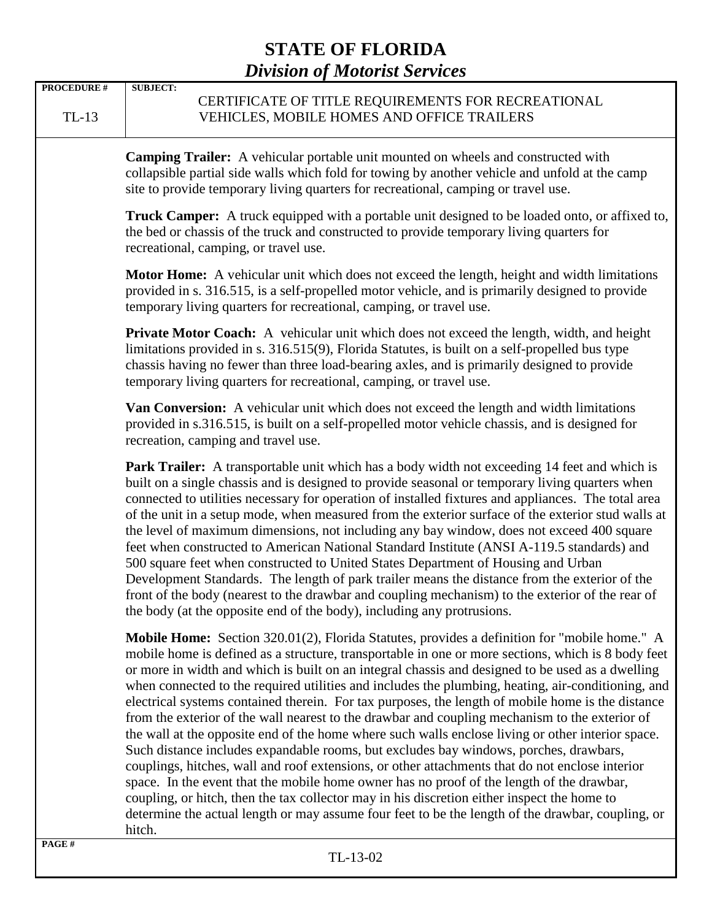| <b>PROCEDURE #</b><br>$TL-13$ | <b>SUBJECT:</b><br>CERTIFICATE OF TITLE REQUIREMENTS FOR RECREATIONAL<br>VEHICLES, MOBILE HOMES AND OFFICE TRAILERS                                                                                                                                                                                                                                                                                                                                                                                                                                                                                                                                                                                                                                                                                                                                                                                                                                                                                                                                                                                                                                                                                                             |
|-------------------------------|---------------------------------------------------------------------------------------------------------------------------------------------------------------------------------------------------------------------------------------------------------------------------------------------------------------------------------------------------------------------------------------------------------------------------------------------------------------------------------------------------------------------------------------------------------------------------------------------------------------------------------------------------------------------------------------------------------------------------------------------------------------------------------------------------------------------------------------------------------------------------------------------------------------------------------------------------------------------------------------------------------------------------------------------------------------------------------------------------------------------------------------------------------------------------------------------------------------------------------|
|                               | <b>Camping Trailer:</b> A vehicular portable unit mounted on wheels and constructed with<br>collapsible partial side walls which fold for towing by another vehicle and unfold at the camp<br>site to provide temporary living quarters for recreational, camping or travel use.                                                                                                                                                                                                                                                                                                                                                                                                                                                                                                                                                                                                                                                                                                                                                                                                                                                                                                                                                |
|                               | Truck Camper: A truck equipped with a portable unit designed to be loaded onto, or affixed to,<br>the bed or chassis of the truck and constructed to provide temporary living quarters for<br>recreational, camping, or travel use.                                                                                                                                                                                                                                                                                                                                                                                                                                                                                                                                                                                                                                                                                                                                                                                                                                                                                                                                                                                             |
|                               | <b>Motor Home:</b> A vehicular unit which does not exceed the length, height and width limitations<br>provided in s. 316.515, is a self-propelled motor vehicle, and is primarily designed to provide<br>temporary living quarters for recreational, camping, or travel use.                                                                                                                                                                                                                                                                                                                                                                                                                                                                                                                                                                                                                                                                                                                                                                                                                                                                                                                                                    |
|                               | <b>Private Motor Coach:</b> A vehicular unit which does not exceed the length, width, and height<br>limitations provided in s. 316.515(9), Florida Statutes, is built on a self-propelled bus type<br>chassis having no fewer than three load-bearing axles, and is primarily designed to provide<br>temporary living quarters for recreational, camping, or travel use.                                                                                                                                                                                                                                                                                                                                                                                                                                                                                                                                                                                                                                                                                                                                                                                                                                                        |
|                               | Van Conversion: A vehicular unit which does not exceed the length and width limitations<br>provided in s.316.515, is built on a self-propelled motor vehicle chassis, and is designed for<br>recreation, camping and travel use.                                                                                                                                                                                                                                                                                                                                                                                                                                                                                                                                                                                                                                                                                                                                                                                                                                                                                                                                                                                                |
|                               | Park Trailer: A transportable unit which has a body width not exceeding 14 feet and which is<br>built on a single chassis and is designed to provide seasonal or temporary living quarters when<br>connected to utilities necessary for operation of installed fixtures and appliances. The total area<br>of the unit in a setup mode, when measured from the exterior surface of the exterior stud walls at<br>the level of maximum dimensions, not including any bay window, does not exceed 400 square<br>feet when constructed to American National Standard Institute (ANSI A-119.5 standards) and<br>500 square feet when constructed to United States Department of Housing and Urban<br>Development Standards. The length of park trailer means the distance from the exterior of the<br>front of the body (nearest to the drawbar and coupling mechanism) to the exterior of the rear of<br>the body (at the opposite end of the body), including any protrusions.                                                                                                                                                                                                                                                     |
|                               | Mobile Home: Section 320.01(2), Florida Statutes, provides a definition for "mobile home." A<br>mobile home is defined as a structure, transportable in one or more sections, which is 8 body feet<br>or more in width and which is built on an integral chassis and designed to be used as a dwelling<br>when connected to the required utilities and includes the plumbing, heating, air-conditioning, and<br>electrical systems contained therein. For tax purposes, the length of mobile home is the distance<br>from the exterior of the wall nearest to the drawbar and coupling mechanism to the exterior of<br>the wall at the opposite end of the home where such walls enclose living or other interior space.<br>Such distance includes expandable rooms, but excludes bay windows, porches, drawbars,<br>couplings, hitches, wall and roof extensions, or other attachments that do not enclose interior<br>space. In the event that the mobile home owner has no proof of the length of the drawbar,<br>coupling, or hitch, then the tax collector may in his discretion either inspect the home to<br>determine the actual length or may assume four feet to be the length of the drawbar, coupling, or<br>hitch. |
| PAGE#                         |                                                                                                                                                                                                                                                                                                                                                                                                                                                                                                                                                                                                                                                                                                                                                                                                                                                                                                                                                                                                                                                                                                                                                                                                                                 |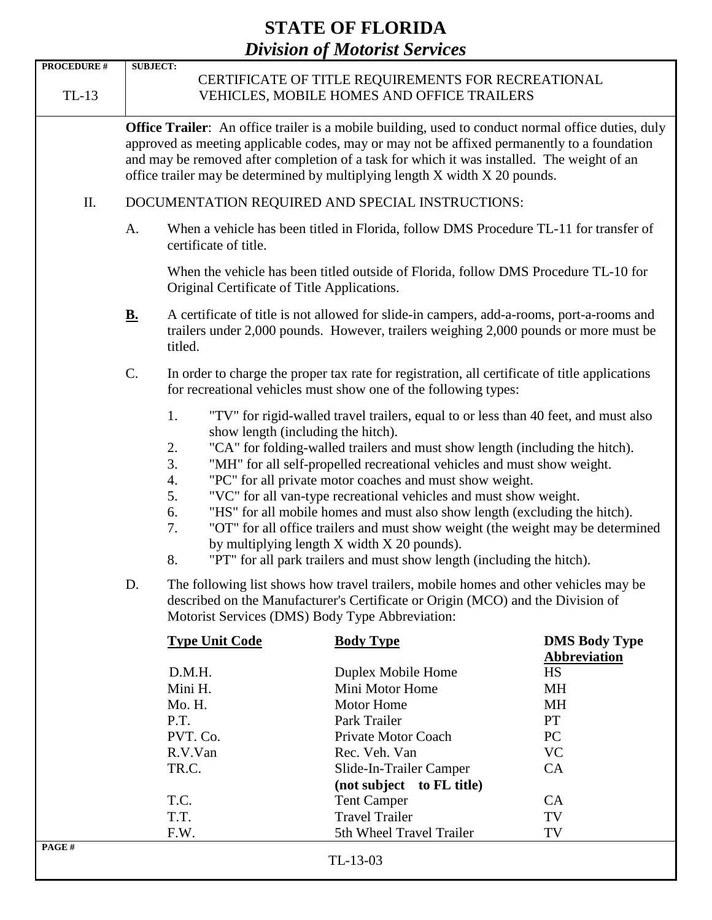| <b>PROCEDURE #</b><br>$TL-13$ | <b>SUBJECT:</b><br>CERTIFICATE OF TITLE REQUIREMENTS FOR RECREATIONAL<br>VEHICLES, MOBILE HOMES AND OFFICE TRAILERS                                                                                       |                                                                                                                                                                                                                                                                                                                                                                                                                                                                                                                                                                                                                                                                                                                                                                 |                                                                                                                                                                                                                                                                           |                                                                                                                                     |  |  |  |  |
|-------------------------------|-----------------------------------------------------------------------------------------------------------------------------------------------------------------------------------------------------------|-----------------------------------------------------------------------------------------------------------------------------------------------------------------------------------------------------------------------------------------------------------------------------------------------------------------------------------------------------------------------------------------------------------------------------------------------------------------------------------------------------------------------------------------------------------------------------------------------------------------------------------------------------------------------------------------------------------------------------------------------------------------|---------------------------------------------------------------------------------------------------------------------------------------------------------------------------------------------------------------------------------------------------------------------------|-------------------------------------------------------------------------------------------------------------------------------------|--|--|--|--|
|                               |                                                                                                                                                                                                           | <b>Office Trailer:</b> An office trailer is a mobile building, used to conduct normal office duties, duly<br>approved as meeting applicable codes, may or may not be affixed permanently to a foundation<br>and may be removed after completion of a task for which it was installed. The weight of an<br>office trailer may be determined by multiplying length X width X 20 pounds.                                                                                                                                                                                                                                                                                                                                                                           |                                                                                                                                                                                                                                                                           |                                                                                                                                     |  |  |  |  |
| Π.                            |                                                                                                                                                                                                           | DOCUMENTATION REQUIRED AND SPECIAL INSTRUCTIONS:                                                                                                                                                                                                                                                                                                                                                                                                                                                                                                                                                                                                                                                                                                                |                                                                                                                                                                                                                                                                           |                                                                                                                                     |  |  |  |  |
|                               | When a vehicle has been titled in Florida, follow DMS Procedure TL-11 for transfer of<br>A.<br>certificate of title.                                                                                      |                                                                                                                                                                                                                                                                                                                                                                                                                                                                                                                                                                                                                                                                                                                                                                 |                                                                                                                                                                                                                                                                           |                                                                                                                                     |  |  |  |  |
|                               | When the vehicle has been titled outside of Florida, follow DMS Procedure TL-10 for<br>Original Certificate of Title Applications.                                                                        |                                                                                                                                                                                                                                                                                                                                                                                                                                                                                                                                                                                                                                                                                                                                                                 |                                                                                                                                                                                                                                                                           |                                                                                                                                     |  |  |  |  |
|                               | A certificate of title is not allowed for slide-in campers, add-a-rooms, port-a-rooms and<br><u>B.</u><br>trailers under 2,000 pounds. However, trailers weighing 2,000 pounds or more must be<br>titled. |                                                                                                                                                                                                                                                                                                                                                                                                                                                                                                                                                                                                                                                                                                                                                                 |                                                                                                                                                                                                                                                                           |                                                                                                                                     |  |  |  |  |
|                               | C.<br>In order to charge the proper tax rate for registration, all certificate of title applications<br>for recreational vehicles must show one of the following types:                                   |                                                                                                                                                                                                                                                                                                                                                                                                                                                                                                                                                                                                                                                                                                                                                                 |                                                                                                                                                                                                                                                                           |                                                                                                                                     |  |  |  |  |
|                               |                                                                                                                                                                                                           | 1.<br>"TV" for rigid-walled travel trailers, equal to or less than 40 feet, and must also<br>show length (including the hitch).<br>"CA" for folding-walled trailers and must show length (including the hitch).<br>2.<br>3.<br>"MH" for all self-propelled recreational vehicles and must show weight.<br>"PC" for all private motor coaches and must show weight.<br>4.<br>5.<br>"VC" for all van-type recreational vehicles and must show weight.<br>6.<br>"HS" for all mobile homes and must also show length (excluding the hitch).<br>7.<br>"OT" for all office trailers and must show weight (the weight may be determined<br>by multiplying length X width X 20 pounds).<br>8.<br>"PT" for all park trailers and must show length (including the hitch). |                                                                                                                                                                                                                                                                           |                                                                                                                                     |  |  |  |  |
|                               | D.                                                                                                                                                                                                        | The following list shows how travel trailers, mobile homes and other vehicles may be<br>described on the Manufacturer's Certificate or Origin (MCO) and the Division of<br>Motorist Services (DMS) Body Type Abbreviation:                                                                                                                                                                                                                                                                                                                                                                                                                                                                                                                                      |                                                                                                                                                                                                                                                                           |                                                                                                                                     |  |  |  |  |
|                               |                                                                                                                                                                                                           | <b>Type Unit Code</b><br>D.M.H.<br>Mini H.<br>Mo. H.<br>P.T.<br>PVT. Co.<br>R.V.Van<br>TR.C.<br>T.C.<br>T.T.<br>F.W.                                                                                                                                                                                                                                                                                                                                                                                                                                                                                                                                                                                                                                            | <b>Body Type</b><br>Duplex Mobile Home<br>Mini Motor Home<br><b>Motor Home</b><br>Park Trailer<br>Private Motor Coach<br>Rec. Veh. Van<br>Slide-In-Trailer Camper<br>(not subject to FL title)<br><b>Tent Camper</b><br><b>Travel Trailer</b><br>5th Wheel Travel Trailer | <b>DMS Body Type</b><br><b>Abbreviation</b><br><b>HS</b><br><b>MH</b><br><b>MH</b><br>PT<br>PC<br><b>VC</b><br>CA<br>CA<br>TV<br>TV |  |  |  |  |
| PAGE#                         |                                                                                                                                                                                                           |                                                                                                                                                                                                                                                                                                                                                                                                                                                                                                                                                                                                                                                                                                                                                                 | TL-13-03                                                                                                                                                                                                                                                                  |                                                                                                                                     |  |  |  |  |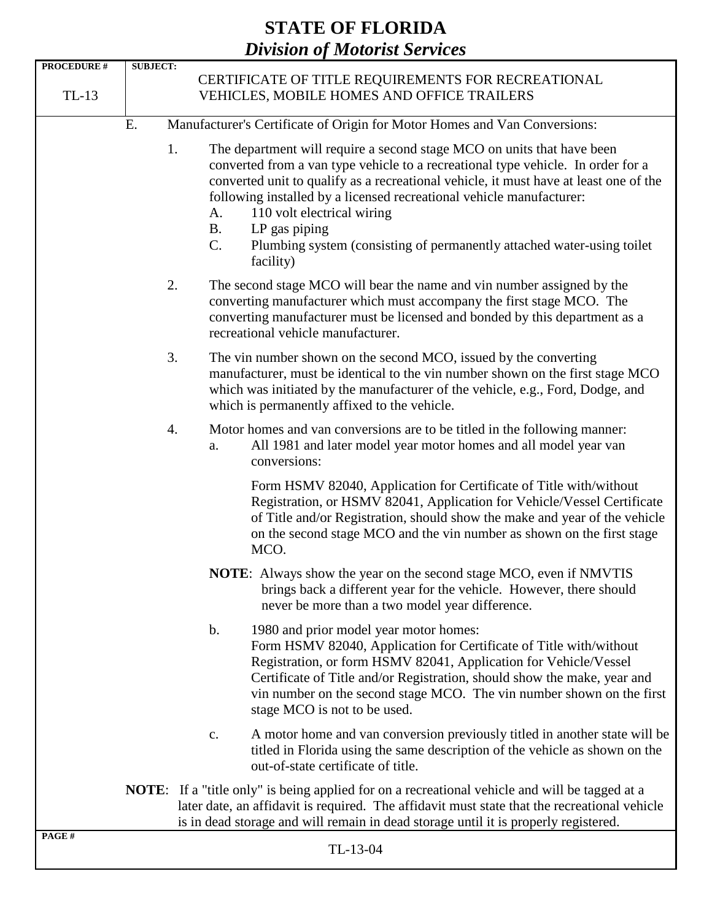| <b>PROCEDURE #</b>                                                              | <b>SUBJECT:</b> |                                                                                                                                                                                                                                                                                                                                                                                                                                                                                               |  |  |
|---------------------------------------------------------------------------------|-----------------|-----------------------------------------------------------------------------------------------------------------------------------------------------------------------------------------------------------------------------------------------------------------------------------------------------------------------------------------------------------------------------------------------------------------------------------------------------------------------------------------------|--|--|
|                                                                                 |                 | CERTIFICATE OF TITLE REQUIREMENTS FOR RECREATIONAL                                                                                                                                                                                                                                                                                                                                                                                                                                            |  |  |
| $TL-13$                                                                         |                 | VEHICLES, MOBILE HOMES AND OFFICE TRAILERS                                                                                                                                                                                                                                                                                                                                                                                                                                                    |  |  |
|                                                                                 |                 |                                                                                                                                                                                                                                                                                                                                                                                                                                                                                               |  |  |
| Manufacturer's Certificate of Origin for Motor Homes and Van Conversions:<br>Ε. |                 |                                                                                                                                                                                                                                                                                                                                                                                                                                                                                               |  |  |
|                                                                                 | 1.              | The department will require a second stage MCO on units that have been<br>converted from a van type vehicle to a recreational type vehicle. In order for a<br>converted unit to qualify as a recreational vehicle, it must have at least one of the<br>following installed by a licensed recreational vehicle manufacturer:<br>110 volt electrical wiring<br>A.<br>LP gas piping<br><b>B.</b><br>$C$ .<br>Plumbing system (consisting of permanently attached water-using toilet<br>facility) |  |  |
|                                                                                 | 2.              | The second stage MCO will bear the name and vin number assigned by the<br>converting manufacturer which must accompany the first stage MCO. The<br>converting manufacturer must be licensed and bonded by this department as a<br>recreational vehicle manufacturer.                                                                                                                                                                                                                          |  |  |
|                                                                                 | 3.              | The vin number shown on the second MCO, issued by the converting<br>manufacturer, must be identical to the vin number shown on the first stage MCO<br>which was initiated by the manufacturer of the vehicle, e.g., Ford, Dodge, and<br>which is permanently affixed to the vehicle.                                                                                                                                                                                                          |  |  |
|                                                                                 | 4.              | Motor homes and van conversions are to be titled in the following manner:<br>All 1981 and later model year motor homes and all model year van<br>a.<br>conversions:                                                                                                                                                                                                                                                                                                                           |  |  |
|                                                                                 |                 | Form HSMV 82040, Application for Certificate of Title with/without<br>Registration, or HSMV 82041, Application for Vehicle/Vessel Certificate<br>of Title and/or Registration, should show the make and year of the vehicle<br>on the second stage MCO and the vin number as shown on the first stage<br>MCO.                                                                                                                                                                                 |  |  |
|                                                                                 |                 | <b>NOTE:</b> Always show the year on the second stage MCO, even if NMVTIS<br>brings back a different year for the vehicle. However, there should<br>never be more than a two model year difference.                                                                                                                                                                                                                                                                                           |  |  |
|                                                                                 |                 | $\mathbf b$ .<br>1980 and prior model year motor homes:<br>Form HSMV 82040, Application for Certificate of Title with/without<br>Registration, or form HSMV 82041, Application for Vehicle/Vessel<br>Certificate of Title and/or Registration, should show the make, year and<br>vin number on the second stage MCO. The vin number shown on the first<br>stage MCO is not to be used.                                                                                                        |  |  |
|                                                                                 |                 | A motor home and van conversion previously titled in another state will be<br>c.<br>titled in Florida using the same description of the vehicle as shown on the<br>out-of-state certificate of title.                                                                                                                                                                                                                                                                                         |  |  |
|                                                                                 |                 | <b>NOTE:</b> If a "title only" is being applied for on a recreational vehicle and will be tagged at a<br>later date, an affidavit is required. The affidavit must state that the recreational vehicle<br>is in dead storage and will remain in dead storage until it is properly registered.                                                                                                                                                                                                  |  |  |
| PAGE#                                                                           |                 | TL-13-04                                                                                                                                                                                                                                                                                                                                                                                                                                                                                      |  |  |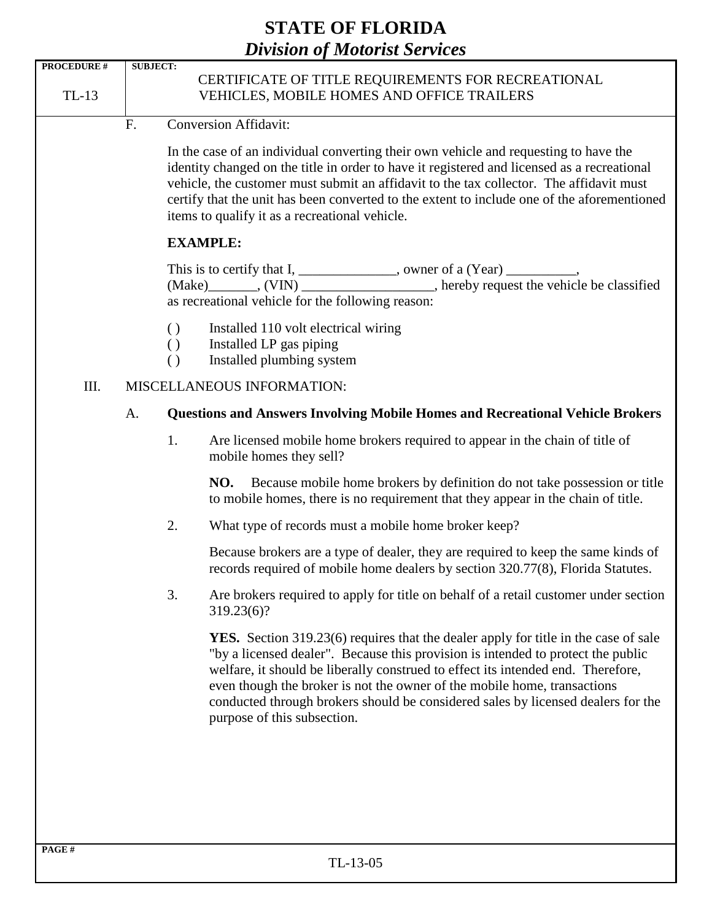|                    |                                                                                                                                                                                                                               |                                                                                                                                                                                                                                                                                                                                                                                                                                 | <i>Division of motorist services</i>                                                                                                                                                                                                                                                                                                                                                                                                                              |  |  |  |  |
|--------------------|-------------------------------------------------------------------------------------------------------------------------------------------------------------------------------------------------------------------------------|---------------------------------------------------------------------------------------------------------------------------------------------------------------------------------------------------------------------------------------------------------------------------------------------------------------------------------------------------------------------------------------------------------------------------------|-------------------------------------------------------------------------------------------------------------------------------------------------------------------------------------------------------------------------------------------------------------------------------------------------------------------------------------------------------------------------------------------------------------------------------------------------------------------|--|--|--|--|
| <b>PROCEDURE #</b> | <b>SUBJECT:</b>                                                                                                                                                                                                               |                                                                                                                                                                                                                                                                                                                                                                                                                                 |                                                                                                                                                                                                                                                                                                                                                                                                                                                                   |  |  |  |  |
| TL-13              |                                                                                                                                                                                                                               |                                                                                                                                                                                                                                                                                                                                                                                                                                 | CERTIFICATE OF TITLE REQUIREMENTS FOR RECREATIONAL<br>VEHICLES, MOBILE HOMES AND OFFICE TRAILERS                                                                                                                                                                                                                                                                                                                                                                  |  |  |  |  |
|                    | F.                                                                                                                                                                                                                            |                                                                                                                                                                                                                                                                                                                                                                                                                                 | Conversion Affidavit:                                                                                                                                                                                                                                                                                                                                                                                                                                             |  |  |  |  |
|                    |                                                                                                                                                                                                                               | In the case of an individual converting their own vehicle and requesting to have the<br>identity changed on the title in order to have it registered and licensed as a recreational<br>vehicle, the customer must submit an affidavit to the tax collector. The affidavit must<br>certify that the unit has been converted to the extent to include one of the aforementioned<br>items to qualify it as a recreational vehicle. |                                                                                                                                                                                                                                                                                                                                                                                                                                                                   |  |  |  |  |
|                    |                                                                                                                                                                                                                               | <b>EXAMPLE:</b>                                                                                                                                                                                                                                                                                                                                                                                                                 |                                                                                                                                                                                                                                                                                                                                                                                                                                                                   |  |  |  |  |
|                    | This is to certify that $I, \_\_\_\_\_\_$ , owner of a (Year) $\_\_\_\_\_\_$ ,<br>(Make) ________, (VIN) _____________________, hereby request the vehicle be classified<br>as recreational vehicle for the following reason: |                                                                                                                                                                                                                                                                                                                                                                                                                                 |                                                                                                                                                                                                                                                                                                                                                                                                                                                                   |  |  |  |  |
|                    |                                                                                                                                                                                                                               | $\left( \right)$<br>$\left( \right)$<br>$\left( \right)$                                                                                                                                                                                                                                                                                                                                                                        | Installed 110 volt electrical wiring<br>Installed LP gas piping<br>Installed plumbing system                                                                                                                                                                                                                                                                                                                                                                      |  |  |  |  |
| Ш.                 | MISCELLANEOUS INFORMATION:<br><b>Questions and Answers Involving Mobile Homes and Recreational Vehicle Brokers</b><br>A.                                                                                                      |                                                                                                                                                                                                                                                                                                                                                                                                                                 |                                                                                                                                                                                                                                                                                                                                                                                                                                                                   |  |  |  |  |
|                    |                                                                                                                                                                                                                               |                                                                                                                                                                                                                                                                                                                                                                                                                                 |                                                                                                                                                                                                                                                                                                                                                                                                                                                                   |  |  |  |  |
|                    |                                                                                                                                                                                                                               | 1.                                                                                                                                                                                                                                                                                                                                                                                                                              | Are licensed mobile home brokers required to appear in the chain of title of<br>mobile homes they sell?                                                                                                                                                                                                                                                                                                                                                           |  |  |  |  |
|                    |                                                                                                                                                                                                                               |                                                                                                                                                                                                                                                                                                                                                                                                                                 | Because mobile home brokers by definition do not take possession or title<br>NO.<br>to mobile homes, there is no requirement that they appear in the chain of title.                                                                                                                                                                                                                                                                                              |  |  |  |  |
|                    |                                                                                                                                                                                                                               | 2.                                                                                                                                                                                                                                                                                                                                                                                                                              | What type of records must a mobile home broker keep?                                                                                                                                                                                                                                                                                                                                                                                                              |  |  |  |  |
|                    |                                                                                                                                                                                                                               |                                                                                                                                                                                                                                                                                                                                                                                                                                 | Because brokers are a type of dealer, they are required to keep the same kinds of<br>records required of mobile home dealers by section 320.77(8), Florida Statutes.                                                                                                                                                                                                                                                                                              |  |  |  |  |
|                    |                                                                                                                                                                                                                               | 3.                                                                                                                                                                                                                                                                                                                                                                                                                              | Are brokers required to apply for title on behalf of a retail customer under section<br>319.23(6)?                                                                                                                                                                                                                                                                                                                                                                |  |  |  |  |
|                    |                                                                                                                                                                                                                               |                                                                                                                                                                                                                                                                                                                                                                                                                                 | <b>YES.</b> Section 319.23(6) requires that the dealer apply for title in the case of sale<br>"by a licensed dealer". Because this provision is intended to protect the public<br>welfare, it should be liberally construed to effect its intended end. Therefore,<br>even though the broker is not the owner of the mobile home, transactions<br>conducted through brokers should be considered sales by licensed dealers for the<br>purpose of this subsection. |  |  |  |  |
|                    |                                                                                                                                                                                                                               |                                                                                                                                                                                                                                                                                                                                                                                                                                 |                                                                                                                                                                                                                                                                                                                                                                                                                                                                   |  |  |  |  |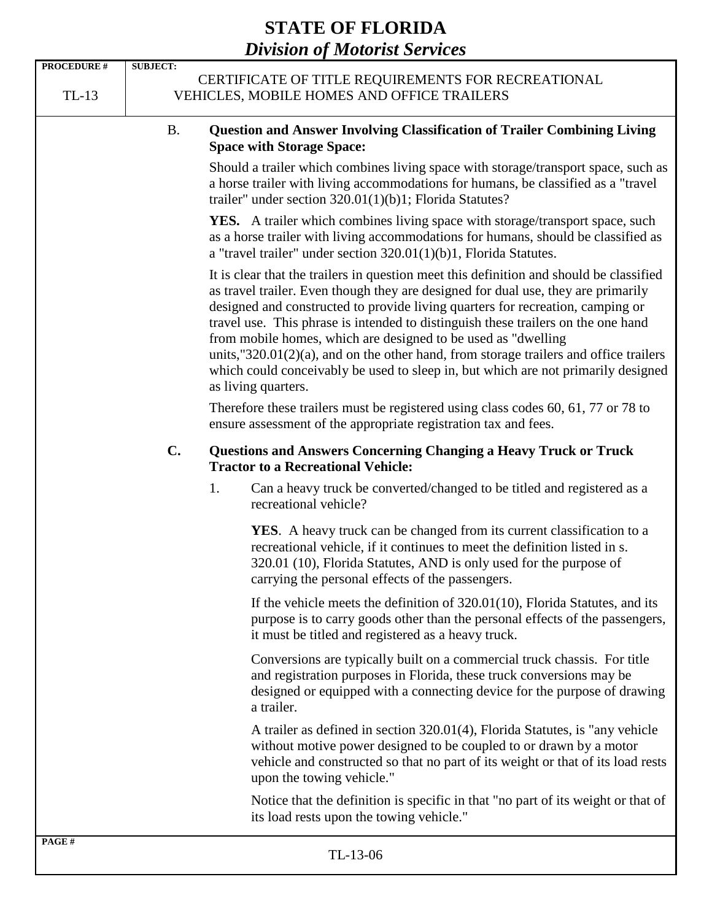| <b>PROCEDURE #</b> | <b>SUBJECT:</b>                                                                                  |    | $-1$ $-0$ $-0$ $-0$ $-0$ $-1$ $-0$ $-0$ $-0$                                                                                                                                                                                                                                                                                                                                                                                                                                                                                                                                                                                 |
|--------------------|--------------------------------------------------------------------------------------------------|----|------------------------------------------------------------------------------------------------------------------------------------------------------------------------------------------------------------------------------------------------------------------------------------------------------------------------------------------------------------------------------------------------------------------------------------------------------------------------------------------------------------------------------------------------------------------------------------------------------------------------------|
| $TL-13$            | CERTIFICATE OF TITLE REQUIREMENTS FOR RECREATIONAL<br>VEHICLES, MOBILE HOMES AND OFFICE TRAILERS |    |                                                                                                                                                                                                                                                                                                                                                                                                                                                                                                                                                                                                                              |
|                    | <b>B.</b>                                                                                        |    | <b>Question and Answer Involving Classification of Trailer Combining Living</b><br><b>Space with Storage Space:</b>                                                                                                                                                                                                                                                                                                                                                                                                                                                                                                          |
|                    |                                                                                                  |    | Should a trailer which combines living space with storage/transport space, such as<br>a horse trailer with living accommodations for humans, be classified as a "travel"<br>trailer" under section $320.01(1)(b)1$ ; Florida Statutes?                                                                                                                                                                                                                                                                                                                                                                                       |
|                    |                                                                                                  |    | <b>YES.</b> A trailer which combines living space with storage/transport space, such<br>as a horse trailer with living accommodations for humans, should be classified as<br>a "travel trailer" under section $320.01(1)(b)1$ , Florida Statutes.                                                                                                                                                                                                                                                                                                                                                                            |
|                    |                                                                                                  |    | It is clear that the trailers in question meet this definition and should be classified<br>as travel trailer. Even though they are designed for dual use, they are primarily<br>designed and constructed to provide living quarters for recreation, camping or<br>travel use. This phrase is intended to distinguish these trailers on the one hand<br>from mobile homes, which are designed to be used as "dwelling<br>units, $320.01(2)(a)$ , and on the other hand, from storage trailers and office trailers<br>which could conceivably be used to sleep in, but which are not primarily designed<br>as living quarters. |
|                    |                                                                                                  |    | Therefore these trailers must be registered using class codes 60, 61, 77 or 78 to<br>ensure assessment of the appropriate registration tax and fees.                                                                                                                                                                                                                                                                                                                                                                                                                                                                         |
|                    | $\mathbf{C}$ .                                                                                   |    | <b>Questions and Answers Concerning Changing a Heavy Truck or Truck</b><br><b>Tractor to a Recreational Vehicle:</b>                                                                                                                                                                                                                                                                                                                                                                                                                                                                                                         |
|                    |                                                                                                  | 1. | Can a heavy truck be converted/changed to be titled and registered as a<br>recreational vehicle?                                                                                                                                                                                                                                                                                                                                                                                                                                                                                                                             |
|                    |                                                                                                  |    | YES. A heavy truck can be changed from its current classification to a<br>recreational vehicle, if it continues to meet the definition listed in s.<br>320.01 (10), Florida Statutes, AND is only used for the purpose of<br>carrying the personal effects of the passengers.                                                                                                                                                                                                                                                                                                                                                |
|                    |                                                                                                  |    | If the vehicle meets the definition of $320.01(10)$ , Florida Statutes, and its<br>purpose is to carry goods other than the personal effects of the passengers,<br>it must be titled and registered as a heavy truck.                                                                                                                                                                                                                                                                                                                                                                                                        |
|                    |                                                                                                  |    | Conversions are typically built on a commercial truck chassis. For title<br>and registration purposes in Florida, these truck conversions may be<br>designed or equipped with a connecting device for the purpose of drawing<br>a trailer.                                                                                                                                                                                                                                                                                                                                                                                   |
|                    |                                                                                                  |    | A trailer as defined in section 320.01(4), Florida Statutes, is "any vehicle<br>without motive power designed to be coupled to or drawn by a motor<br>vehicle and constructed so that no part of its weight or that of its load rests<br>upon the towing vehicle."                                                                                                                                                                                                                                                                                                                                                           |
|                    |                                                                                                  |    | Notice that the definition is specific in that "no part of its weight or that of<br>its load rests upon the towing vehicle."                                                                                                                                                                                                                                                                                                                                                                                                                                                                                                 |
| PAGE#              |                                                                                                  |    | $TI - 13 - 06$                                                                                                                                                                                                                                                                                                                                                                                                                                                                                                                                                                                                               |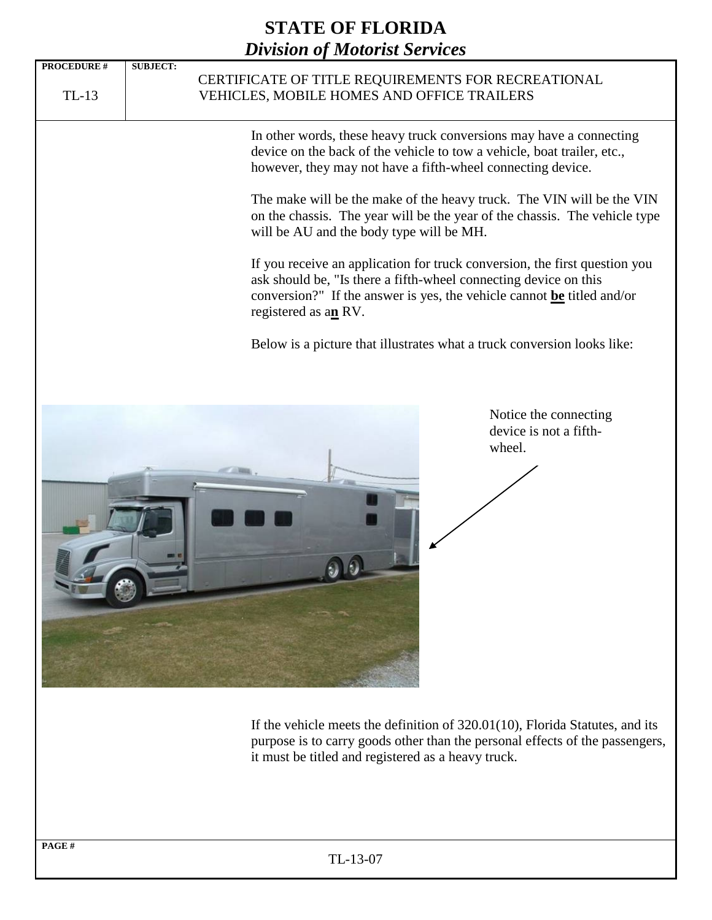

If the vehicle meets the definition of 320.01(10), Florida Statutes, and its purpose is to carry goods other than the personal effects of the passengers, it must be titled and registered as a heavy truck.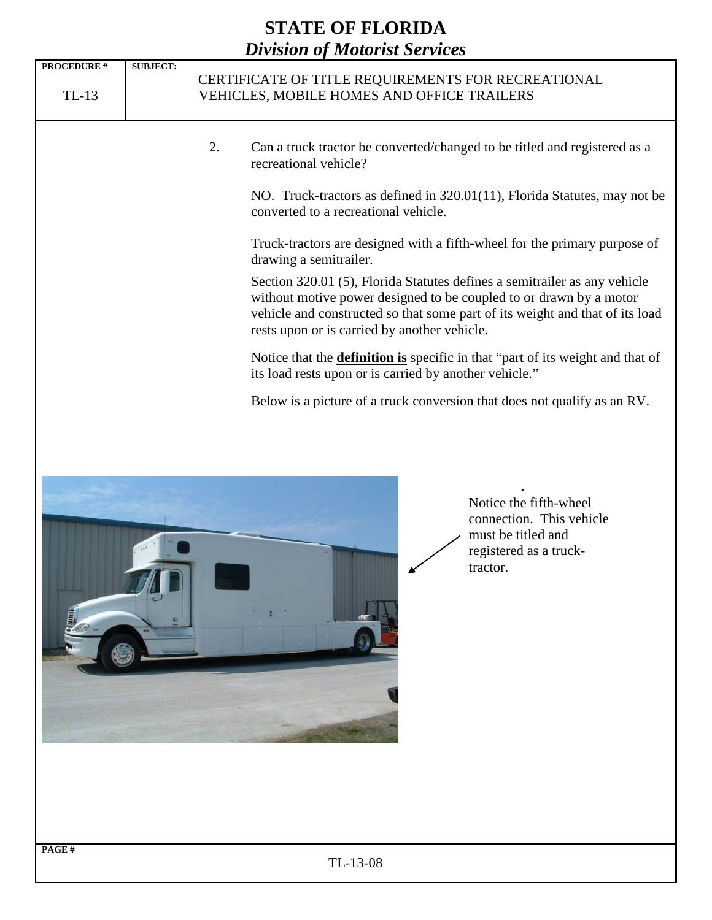



Notice the fifth-wheel connection. This vehicle must be titled and registered as a trucktractor.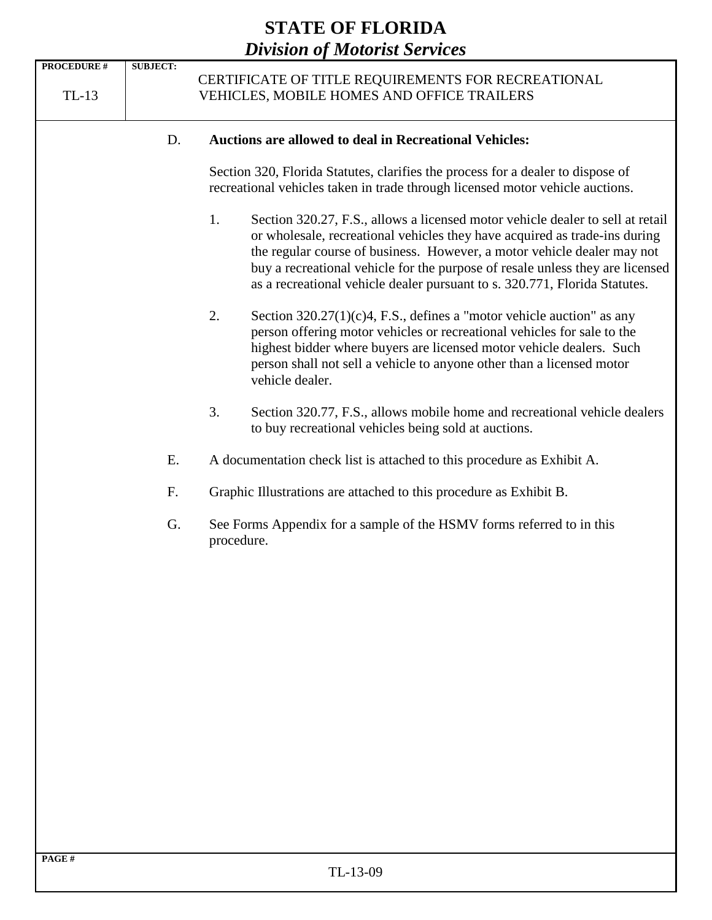| <b>PROCEDURE #</b> | <b>SUBJECT:</b> |                                                                                                                                                                                                                                                                                                                                                                                                              |  |
|--------------------|-----------------|--------------------------------------------------------------------------------------------------------------------------------------------------------------------------------------------------------------------------------------------------------------------------------------------------------------------------------------------------------------------------------------------------------------|--|
| $TL-13$            |                 | CERTIFICATE OF TITLE REQUIREMENTS FOR RECREATIONAL<br>VEHICLES, MOBILE HOMES AND OFFICE TRAILERS                                                                                                                                                                                                                                                                                                             |  |
|                    |                 |                                                                                                                                                                                                                                                                                                                                                                                                              |  |
|                    | D.              | <b>Auctions are allowed to deal in Recreational Vehicles:</b>                                                                                                                                                                                                                                                                                                                                                |  |
|                    |                 | Section 320, Florida Statutes, clarifies the process for a dealer to dispose of<br>recreational vehicles taken in trade through licensed motor vehicle auctions.                                                                                                                                                                                                                                             |  |
|                    |                 | 1.<br>Section 320.27, F.S., allows a licensed motor vehicle dealer to sell at retail<br>or wholesale, recreational vehicles they have acquired as trade-ins during<br>the regular course of business. However, a motor vehicle dealer may not<br>buy a recreational vehicle for the purpose of resale unless they are licensed<br>as a recreational vehicle dealer pursuant to s. 320.771, Florida Statutes. |  |
|                    |                 | 2.<br>Section $320.27(1)(c)4$ , F.S., defines a "motor vehicle auction" as any<br>person offering motor vehicles or recreational vehicles for sale to the<br>highest bidder where buyers are licensed motor vehicle dealers. Such<br>person shall not sell a vehicle to anyone other than a licensed motor<br>vehicle dealer.                                                                                |  |
|                    |                 | 3.<br>Section 320.77, F.S., allows mobile home and recreational vehicle dealers<br>to buy recreational vehicles being sold at auctions.                                                                                                                                                                                                                                                                      |  |
|                    | Ε.              | A documentation check list is attached to this procedure as Exhibit A.                                                                                                                                                                                                                                                                                                                                       |  |
|                    | F.              | Graphic Illustrations are attached to this procedure as Exhibit B.<br>See Forms Appendix for a sample of the HSMV forms referred to in this<br>procedure.                                                                                                                                                                                                                                                    |  |
|                    | G.              |                                                                                                                                                                                                                                                                                                                                                                                                              |  |
|                    |                 |                                                                                                                                                                                                                                                                                                                                                                                                              |  |
|                    |                 |                                                                                                                                                                                                                                                                                                                                                                                                              |  |
|                    |                 |                                                                                                                                                                                                                                                                                                                                                                                                              |  |
|                    |                 |                                                                                                                                                                                                                                                                                                                                                                                                              |  |
|                    |                 |                                                                                                                                                                                                                                                                                                                                                                                                              |  |
|                    |                 |                                                                                                                                                                                                                                                                                                                                                                                                              |  |
|                    |                 |                                                                                                                                                                                                                                                                                                                                                                                                              |  |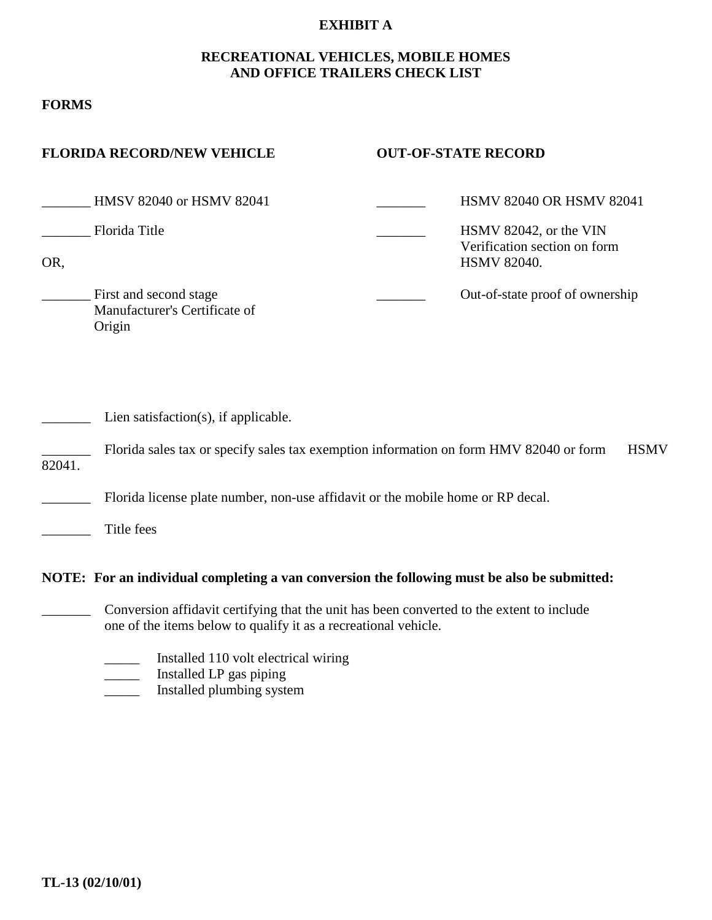#### **EXHIBIT A**

#### **RECREATIONAL VEHICLES, MOBILE HOMES AND OFFICE TRAILERS CHECK LIST**

#### **FORMS**

| <b>FLORIDA RECORD/NEW VEHICLE</b>                                 | <b>OUT-OF-STATE RECORD</b>                                                   |
|-------------------------------------------------------------------|------------------------------------------------------------------------------|
| <b>HMSV 82040 or HSMV 82041</b>                                   | <b>HSMV 82040 OR HSMV 82041</b>                                              |
| Florida Title<br>OR,                                              | HSMV 82042, or the VIN<br>Verification section on form<br><b>HSMV 82040.</b> |
| First and second stage<br>Manufacturer's Certificate of<br>Origin | Out-of-state proof of ownership                                              |

|        | Florida sales tax or specify sales tax exemption information on form HMV 82040 or form HSMV |  |
|--------|---------------------------------------------------------------------------------------------|--|
| 82041. |                                                                                             |  |

\_\_\_\_\_\_\_ Florida license plate number, non-use affidavit or the mobile home or RP decal.

\_\_\_\_\_\_\_ Title fees

#### **NOTE: For an individual completing a van conversion the following must be also be submitted:**

- Conversion affidavit certifying that the unit has been converted to the extent to include one of the items below to qualify it as a recreational vehicle.
	- \_\_\_\_\_ Installed 110 volt electrical wiring
- \_\_\_\_\_ Installed LP gas piping
- \_\_\_\_\_ Installed plumbing system